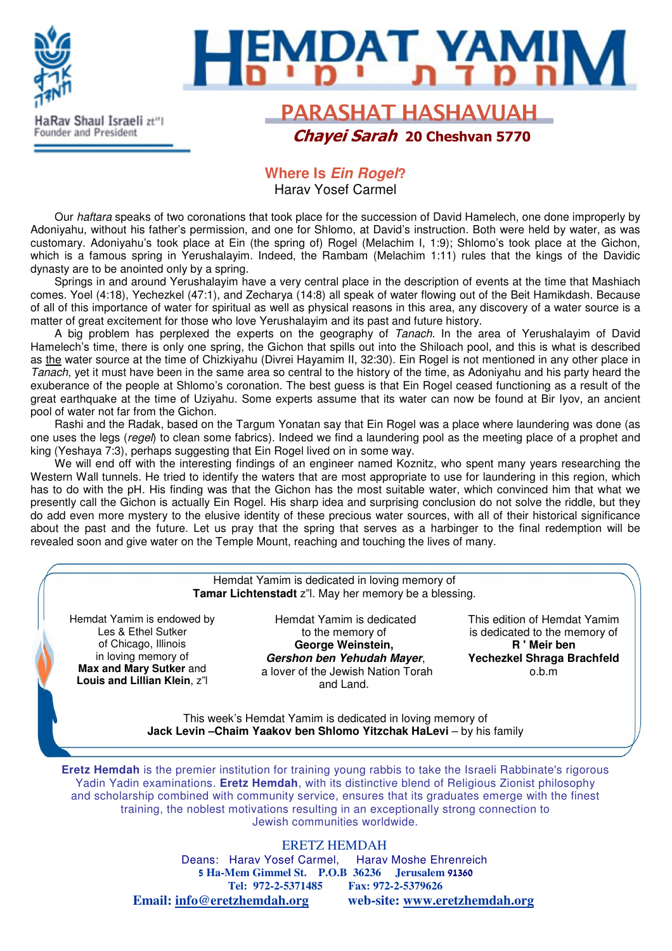

### **Where Is Ein Rogel?** Harav Yosef Carmel

Our haftara speaks of two coronations that took place for the succession of David Hamelech, one done improperly by Adoniyahu, without his father's permission, and one for Shlomo, at David's instruction. Both were held by water, as was customary. Adoniyahu's took place at Ein (the spring of) Rogel (Melachim I, 1:9); Shlomo's took place at the Gichon, which is a famous spring in Yerushalayim. Indeed, the Rambam (Melachim 1:11) rules that the kings of the Davidic dynasty are to be anointed only by a spring.

Springs in and around Yerushalayim have a very central place in the description of events at the time that Mashiach comes. Yoel (4:18), Yechezkel (47:1), and Zecharya (14:8) all speak of water flowing out of the Beit Hamikdash. Because of all of this importance of water for spiritual as well as physical reasons in this area, any discovery of a water source is a matter of great excitement for those who love Yerushalayim and its past and future history.

A big problem has perplexed the experts on the geography of Tanach. In the area of Yerushalayim of David Hamelech's time, there is only one spring, the Gichon that spills out into the Shiloach pool, and this is what is described as the water source at the time of Chizkiyahu (Divrei Hayamim II, 32:30). Ein Rogel is not mentioned in any other place in Tanach, yet it must have been in the same area so central to the history of the time, as Adoniyahu and his party heard the exuberance of the people at Shlomo's coronation. The best guess is that Ein Rogel ceased functioning as a result of the great earthquake at the time of Uziyahu. Some experts assume that its water can now be found at Bir Iyov, an ancient pool of water not far from the Gichon.

Rashi and the Radak, based on the Targum Yonatan say that Ein Rogel was a place where laundering was done (as one uses the legs (regel) to clean some fabrics). Indeed we find a laundering pool as the meeting place of a prophet and king (Yeshaya 7:3), perhaps suggesting that Ein Rogel lived on in some way.

We will end off with the interesting findings of an engineer named Koznitz, who spent many years researching the Western Wall tunnels. He tried to identify the waters that are most appropriate to use for laundering in this region, which has to do with the pH. His finding was that the Gichon has the most suitable water, which convinced him that what we presently call the Gichon is actually Ein Rogel. His sharp idea and surprising conclusion do not solve the riddle, but they do add even more mystery to the elusive identity of these precious water sources, with all of their historical significance about the past and the future. Let us pray that the spring that serves as a harbinger to the final redemption will be revealed soon and give water on the Temple Mount, reaching and touching the lives of many.

### Hemdat Yamim is dedicated in loving memory of **Tamar Lichtenstadt** z"l. May her memory be a blessing.

Hemdat Yamim is endowed by Les & Ethel Sutker of Chicago, Illinois in loving memory of **Max and Mary Sutker** and **Louis and Lillian Klein**, z"l

Hemdat Yamim is dedicated to the memory of **George Weinstein, Gershon ben Yehudah Mayer**, a lover of the Jewish Nation Torah and Land.

This edition of Hemdat Yamim is dedicated to the memory of **R ' Meir ben Yechezkel Shraga Brachfeld** o.b.m

This week's Hemdat Yamim is dedicated in loving memory of **Jack Levin –Chaim Yaakov ben Shlomo Yitzchak HaLevi** – by his family

**Eretz Hemdah** is the premier institution for training young rabbis to take the Israeli Rabbinate's rigorous Yadin Yadin examinations. **Eretz Hemdah**, with its distinctive blend of Religious Zionist philosophy and scholarship combined with community service, ensures that its graduates emerge with the finest training, the noblest motivations resulting in an exceptionally strong connection to Jewish communities worldwide.

ERETZ HEMDAH

Deans: Harav Yosef Carmel, Harav Moshe Ehrenreich 5 **Ha-Mem Gimmel St. P.O.B 36236 Jerusalem** 91360 **Tel: 972-2-5371485 Fax: 972-2-5379626 Email: info@eretzhemdah.org web-site: www.eretzhemdah.org**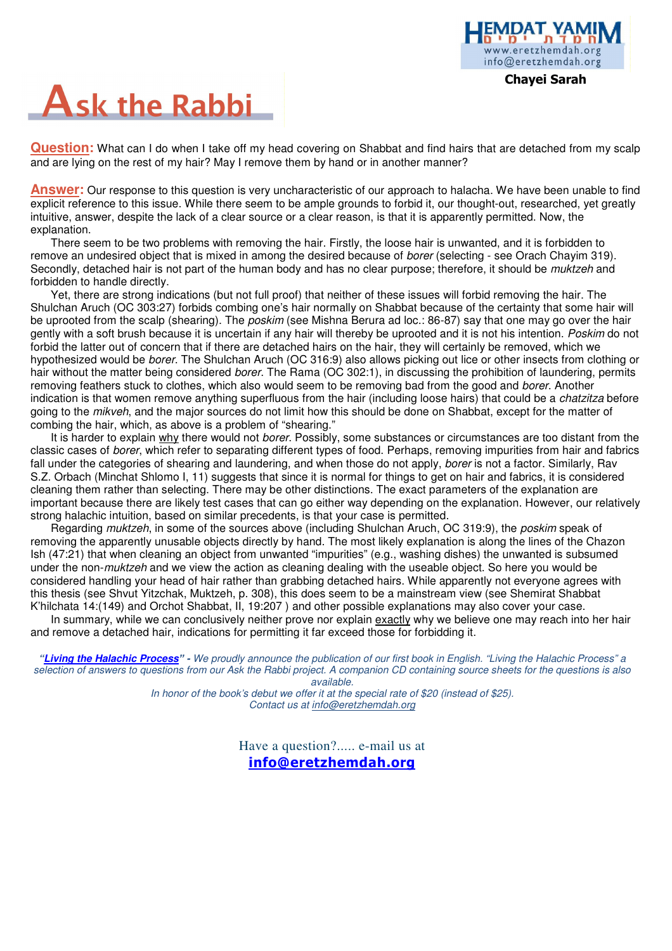

Chayei Sarah

# **Ask the Rabbi**

**Question:** What can I do when I take off my head covering on Shabbat and find hairs that are detached from my scalp and are lying on the rest of my hair? May I remove them by hand or in another manner?

**Answer:** Our response to this question is very uncharacteristic of our approach to halacha. We have been unable to find explicit reference to this issue. While there seem to be ample grounds to forbid it, our thought-out, researched, yet greatly intuitive, answer, despite the lack of a clear source or a clear reason, is that it is apparently permitted. Now, the explanation.

There seem to be two problems with removing the hair. Firstly, the loose hair is unwanted, and it is forbidden to remove an undesired object that is mixed in among the desired because of borer (selecting - see Orach Chayim 319). Secondly, detached hair is not part of the human body and has no clear purpose; therefore, it should be *muktzeh* and forbidden to handle directly.

Yet, there are strong indications (but not full proof) that neither of these issues will forbid removing the hair. The Shulchan Aruch (OC 303:27) forbids combing one's hair normally on Shabbat because of the certainty that some hair will be uprooted from the scalp (shearing). The *poskim* (see Mishna Berura ad loc.: 86-87) say that one may go over the hair gently with a soft brush because it is uncertain if any hair will thereby be uprooted and it is not his intention. Poskim do not forbid the latter out of concern that if there are detached hairs on the hair, they will certainly be removed, which we hypothesized would be borer. The Shulchan Aruch (OC 316:9) also allows picking out lice or other insects from clothing or hair without the matter being considered borer. The Rama (OC 302:1), in discussing the prohibition of laundering, permits removing feathers stuck to clothes, which also would seem to be removing bad from the good and borer. Another indication is that women remove anything superfluous from the hair (including loose hairs) that could be a chatzitza before going to the *mikveh*, and the major sources do not limit how this should be done on Shabbat, except for the matter of combing the hair, which, as above is a problem of "shearing."

It is harder to explain why there would not *borer*. Possibly, some substances or circumstances are too distant from the classic cases of borer, which refer to separating different types of food. Perhaps, removing impurities from hair and fabrics fall under the categories of shearing and laundering, and when those do not apply, borer is not a factor. Similarly, Rav S.Z. Orbach (Minchat Shlomo I, 11) suggests that since it is normal for things to get on hair and fabrics, it is considered cleaning them rather than selecting. There may be other distinctions. The exact parameters of the explanation are important because there are likely test cases that can go either way depending on the explanation. However, our relatively strong halachic intuition, based on similar precedents, is that your case is permitted.

Regarding muktzeh, in some of the sources above (including Shulchan Aruch, OC 319:9), the poskim speak of removing the apparently unusable objects directly by hand. The most likely explanation is along the lines of the Chazon Ish (47:21) that when cleaning an object from unwanted "impurities" (e.g., washing dishes) the unwanted is subsumed under the non-*muktzeh* and we view the action as cleaning dealing with the useable object. So here you would be considered handling your head of hair rather than grabbing detached hairs. While apparently not everyone agrees with this thesis (see Shvut Yitzchak, Muktzeh, p. 308), this does seem to be a mainstream view (see Shemirat Shabbat K'hilchata 14:(149) and Orchot Shabbat, II, 19:207 ) and other possible explanations may also cover your case.

In summary, while we can conclusively neither prove nor explain exactly why we believe one may reach into her hair and remove a detached hair, indications for permitting it far exceed those for forbidding it.

**"Living the Halachic Process**" **-** We proudly announce the publication of our first book in English. "Living the Halachic Process" a selection of answers to questions from our Ask the Rabbi project. A companion CD containing source sheets for the questions is also available.

In honor of the book's debut we offer it at the special rate of \$20 (instead of \$25). Contact us at info@eretzhemdah.org

> Have a question?..... e-mail us at info@eretzhemdah.org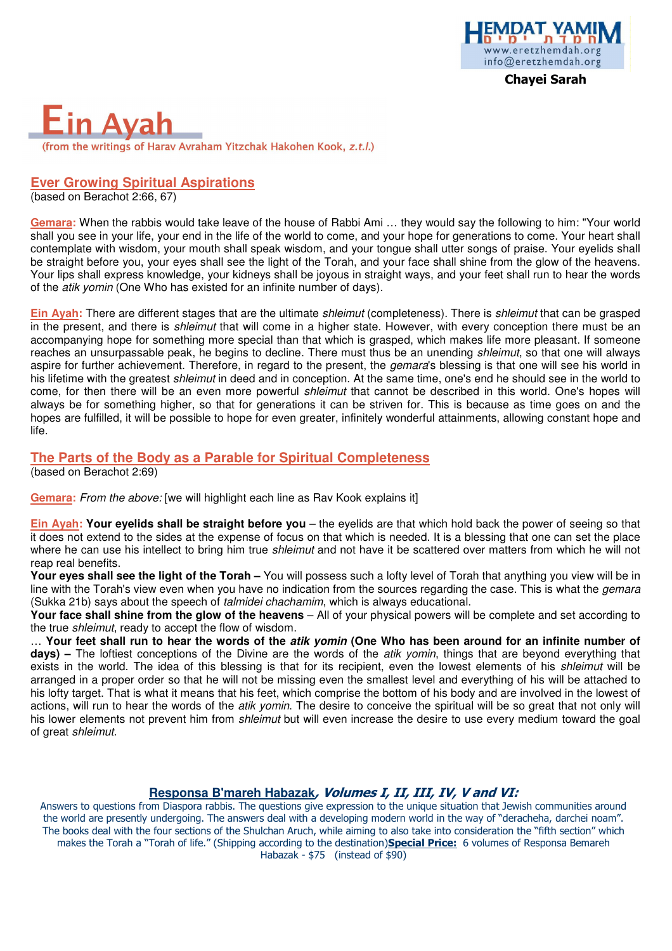

### Ava (from the writings of Harav Avraham Yitzchak Hakohen Kook, z.t.l.)

### **Ever Growing Spiritual Aspirations**

(based on Berachot 2:66, 67)

**Gemara:** When the rabbis would take leave of the house of Rabbi Ami … they would say the following to him: "Your world shall you see in your life, your end in the life of the world to come, and your hope for generations to come. Your heart shall contemplate with wisdom, your mouth shall speak wisdom, and your tongue shall utter songs of praise. Your eyelids shall be straight before you, your eyes shall see the light of the Torah, and your face shall shine from the glow of the heavens. Your lips shall express knowledge, your kidneys shall be joyous in straight ways, and your feet shall run to hear the words of the atik yomin (One Who has existed for an infinite number of days).

**Ein Ayah:** There are different stages that are the ultimate shleimut (completeness). There is shleimut that can be grasped in the present, and there is *shleimut* that will come in a higher state. However, with every conception there must be an accompanying hope for something more special than that which is grasped, which makes life more pleasant. If someone reaches an unsurpassable peak, he begins to decline. There must thus be an unending *shleimut*, so that one will always aspire for further achievement. Therefore, in regard to the present, the *gemara*'s blessing is that one will see his world in his lifetime with the greatest shleimut in deed and in conception. At the same time, one's end he should see in the world to come, for then there will be an even more powerful *shleimut* that cannot be described in this world. One's hopes will always be for something higher, so that for generations it can be striven for. This is because as time goes on and the hopes are fulfilled, it will be possible to hope for even greater, infinitely wonderful attainments, allowing constant hope and life.

### **The Parts of the Body as a Parable for Spiritual Completeness**

(based on Berachot 2:69)

**Gemara:** From the above: [we will highlight each line as Rav Kook explains it]

**Ein Ayah: Your eyelids shall be straight before you** – the eyelids are that which hold back the power of seeing so that it does not extend to the sides at the expense of focus on that which is needed. It is a blessing that one can set the place where he can use his intellect to bring him true shleimut and not have it be scattered over matters from which he will not reap real benefits.

**Your eyes shall see the light of the Torah –** You will possess such a lofty level of Torah that anything you view will be in line with the Torah's view even when you have no indication from the sources regarding the case. This is what the *gemara* (Sukka 21b) says about the speech of talmidei chachamim, which is always educational.

**Your face shall shine from the glow of the heavens** – All of your physical powers will be complete and set according to the true shleimut, ready to accept the flow of wisdom.

… **Your feet shall run to hear the words of the atik yomin (One Who has been around for an infinite number of days) –** The loftiest conceptions of the Divine are the words of the atik yomin, things that are beyond everything that exists in the world. The idea of this blessing is that for its recipient, even the lowest elements of his shleimut will be arranged in a proper order so that he will not be missing even the smallest level and everything of his will be attached to his lofty target. That is what it means that his feet, which comprise the bottom of his body and are involved in the lowest of actions, will run to hear the words of the *atik yomin*. The desire to conceive the spiritual will be so great that not only will his lower elements not prevent him from *shleimut* but will even increase the desire to use every medium toward the goal of great shleimut.

### **Responsa B'mareh Habazak**, Volumes I, II, III, IV, V and VI:

Answers to questions from Diaspora rabbis. The questions give expression to the unique situation that Jewish communities around the world are presently undergoing. The answers deal with a developing modern world in the way of "deracheha, darchei noam". The books deal with the four sections of the Shulchan Aruch, while aiming to also take into consideration the "fifth section" which makes the Torah a "Torah of life." (Shipping according to the destination)Special Price: 6 volumes of Responsa Bemareh Habazak - \$75 (instead of \$90)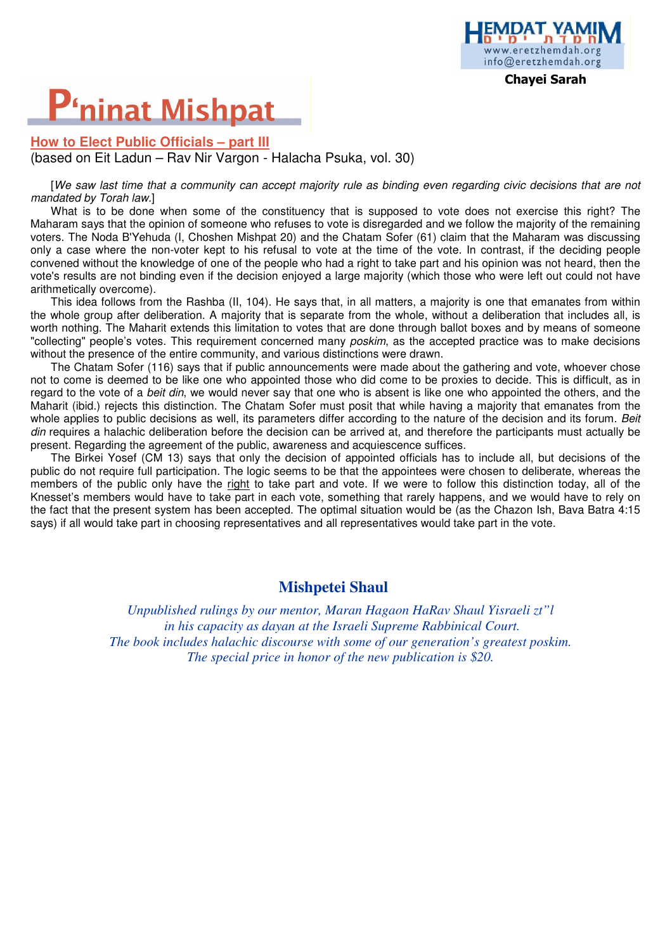## **P'ninat Mishpat**

### **How to Elect Public Officials – part III** (based on Eit Ladun – Rav Nir Vargon - Halacha Psuka, vol. 30)

[We saw last time that a community can accept majority rule as binding even regarding civic decisions that are not mandated by Torah law.]

What is to be done when some of the constituency that is supposed to vote does not exercise this right? The Maharam says that the opinion of someone who refuses to vote is disregarded and we follow the majority of the remaining voters. The Noda B'Yehuda (I, Choshen Mishpat 20) and the Chatam Sofer (61) claim that the Maharam was discussing only a case where the non-voter kept to his refusal to vote at the time of the vote. In contrast, if the deciding people convened without the knowledge of one of the people who had a right to take part and his opinion was not heard, then the vote's results are not binding even if the decision enjoyed a large majority (which those who were left out could not have arithmetically overcome).

This idea follows from the Rashba (II, 104). He says that, in all matters, a majority is one that emanates from within the whole group after deliberation. A majority that is separate from the whole, without a deliberation that includes all, is worth nothing. The Maharit extends this limitation to votes that are done through ballot boxes and by means of someone "collecting" people's votes. This requirement concerned many *poskim*, as the accepted practice was to make decisions without the presence of the entire community, and various distinctions were drawn.

The Chatam Sofer (116) says that if public announcements were made about the gathering and vote, whoever chose not to come is deemed to be like one who appointed those who did come to be proxies to decide. This is difficult, as in regard to the vote of a beit din, we would never say that one who is absent is like one who appointed the others, and the Maharit (ibid.) rejects this distinction. The Chatam Sofer must posit that while having a majority that emanates from the whole applies to public decisions as well, its parameters differ according to the nature of the decision and its forum. Beit din requires a halachic deliberation before the decision can be arrived at, and therefore the participants must actually be present. Regarding the agreement of the public, awareness and acquiescence suffices.

The Birkei Yosef (CM 13) says that only the decision of appointed officials has to include all, but decisions of the public do not require full participation. The logic seems to be that the appointees were chosen to deliberate, whereas the members of the public only have the right to take part and vote. If we were to follow this distinction today, all of the Knesset's members would have to take part in each vote, something that rarely happens, and we would have to rely on the fact that the present system has been accepted. The optimal situation would be (as the Chazon Ish, Bava Batra 4:15 says) if all would take part in choosing representatives and all representatives would take part in the vote.

### **Mishpetei Shaul**

*Unpublished rulings by our mentor, Maran Hagaon HaRav Shaul Yisraeli zt"l in his capacity as dayan at the Israeli Supreme Rabbinical Court. The book includes halachic discourse with some of our generation's greatest poskim. The special price in honor of the new publication is \$20.*